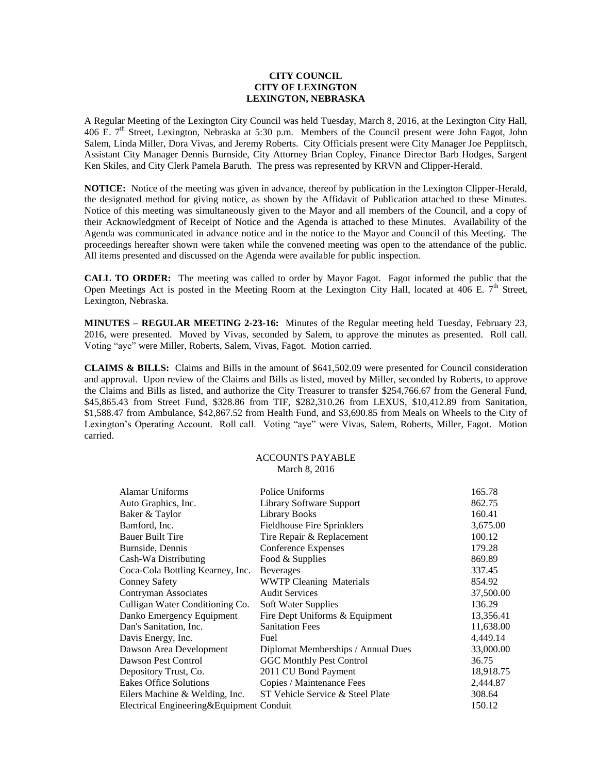## **CITY COUNCIL CITY OF LEXINGTON LEXINGTON, NEBRASKA**

A Regular Meeting of the Lexington City Council was held Tuesday, March 8, 2016, at the Lexington City Hall, 406 E. 7th Street, Lexington, Nebraska at 5:30 p.m. Members of the Council present were John Fagot, John Salem, Linda Miller, Dora Vivas, and Jeremy Roberts. City Officials present were City Manager Joe Pepplitsch, Assistant City Manager Dennis Burnside, City Attorney Brian Copley, Finance Director Barb Hodges, Sargent Ken Skiles, and City Clerk Pamela Baruth. The press was represented by KRVN and Clipper-Herald.

**NOTICE:** Notice of the meeting was given in advance, thereof by publication in the Lexington Clipper-Herald, the designated method for giving notice, as shown by the Affidavit of Publication attached to these Minutes. Notice of this meeting was simultaneously given to the Mayor and all members of the Council, and a copy of their Acknowledgment of Receipt of Notice and the Agenda is attached to these Minutes. Availability of the Agenda was communicated in advance notice and in the notice to the Mayor and Council of this Meeting. The proceedings hereafter shown were taken while the convened meeting was open to the attendance of the public. All items presented and discussed on the Agenda were available for public inspection.

**CALL TO ORDER:** The meeting was called to order by Mayor Fagot. Fagot informed the public that the Open Meetings Act is posted in the Meeting Room at the Lexington City Hall, located at 406 E.  $7<sup>th</sup>$  Street, Lexington, Nebraska.

**MINUTES – REGULAR MEETING 2-23-16:** Minutes of the Regular meeting held Tuesday, February 23, 2016, were presented. Moved by Vivas, seconded by Salem, to approve the minutes as presented. Roll call. Voting "aye" were Miller, Roberts, Salem, Vivas, Fagot. Motion carried.

**CLAIMS & BILLS:** Claims and Bills in the amount of \$641,502.09 were presented for Council consideration and approval. Upon review of the Claims and Bills as listed, moved by Miller, seconded by Roberts, to approve the Claims and Bills as listed, and authorize the City Treasurer to transfer \$254,766.67 from the General Fund, \$45,865.43 from Street Fund, \$328.86 from TIF, \$282,310.26 from LEXUS, \$10,412.89 from Sanitation, \$1,588.47 from Ambulance, \$42,867.52 from Health Fund, and \$3,690.85 from Meals on Wheels to the City of Lexington's Operating Account. Roll call. Voting "aye" were Vivas, Salem, Roberts, Miller, Fagot. Motion carried.

## ACCOUNTS PAYABLE March 8, 2016

| Alamar Uniforms                          | Police Uniforms                    | 165.78    |  |
|------------------------------------------|------------------------------------|-----------|--|
| Auto Graphics, Inc.                      | Library Software Support           | 862.75    |  |
| Baker & Taylor                           | Library Books                      | 160.41    |  |
| Bamford, Inc.                            | <b>Fieldhouse Fire Sprinklers</b>  | 3,675.00  |  |
| <b>Bauer Built Tire</b>                  | Tire Repair & Replacement          | 100.12    |  |
| Burnside, Dennis                         | Conference Expenses                | 179.28    |  |
| Cash-Wa Distributing                     | Food & Supplies                    | 869.89    |  |
| Coca-Cola Bottling Kearney, Inc.         | <b>Beverages</b>                   | 337.45    |  |
| <b>Conney Safety</b>                     | <b>WWTP Cleaning Materials</b>     | 854.92    |  |
| Contryman Associates                     | <b>Audit Services</b>              | 37,500.00 |  |
| Culligan Water Conditioning Co.          | Soft Water Supplies                | 136.29    |  |
| Danko Emergency Equipment                | Fire Dept Uniforms & Equipment     | 13,356.41 |  |
| Dan's Sanitation, Inc.                   | <b>Sanitation Fees</b>             | 11,638.00 |  |
| Davis Energy, Inc.                       | Fuel                               | 4,449.14  |  |
| Dawson Area Development                  | Diplomat Memberships / Annual Dues | 33,000.00 |  |
| Dawson Pest Control                      | <b>GGC Monthly Pest Control</b>    | 36.75     |  |
| Depository Trust, Co.                    | 2011 CU Bond Payment               | 18,918.75 |  |
| <b>Eakes Office Solutions</b>            | Copies / Maintenance Fees          | 2,444.87  |  |
| Eilers Machine & Welding, Inc.           | ST Vehicle Service & Steel Plate   | 308.64    |  |
| Electrical Engineering&Equipment Conduit |                                    | 150.12    |  |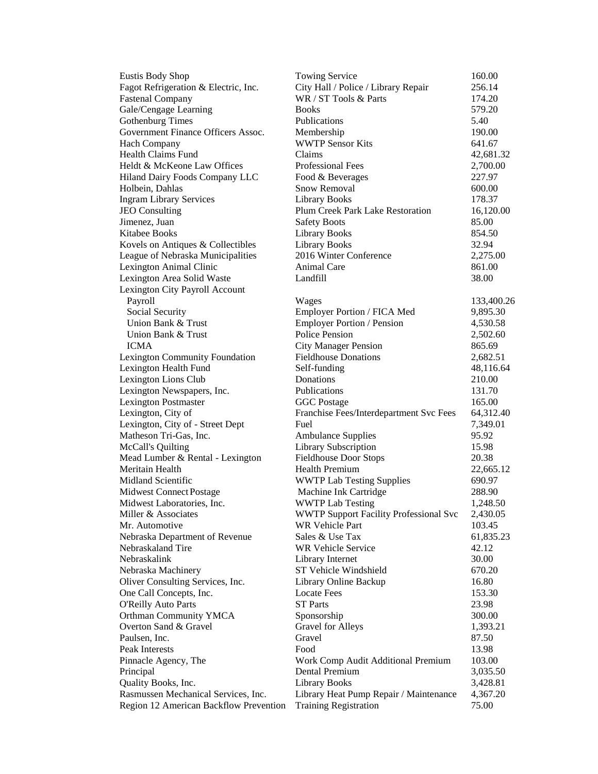| <b>Eustis Body Shop</b>                | <b>Towing Service</b>                                      | 160.00     |
|----------------------------------------|------------------------------------------------------------|------------|
| Fagot Refrigeration & Electric, Inc.   | City Hall / Police / Library Repair                        | 256.14     |
| <b>Fastenal Company</b>                | WR / ST Tools & Parts                                      | 174.20     |
| Gale/Cengage Learning                  | <b>Books</b>                                               | 579.20     |
| <b>Gothenburg Times</b>                | Publications                                               | 5.40       |
| Government Finance Officers Assoc.     | Membership                                                 | 190.00     |
| Hach Company                           | <b>WWTP Sensor Kits</b>                                    | 641.67     |
| <b>Health Claims Fund</b>              | Claims                                                     | 42,681.32  |
| Heldt & McKeone Law Offices            | Professional Fees                                          | 2,700.00   |
| Hiland Dairy Foods Company LLC         | Food & Beverages                                           | 227.97     |
| Holbein, Dahlas                        | <b>Snow Removal</b>                                        | 600.00     |
| <b>Ingram Library Services</b>         | <b>Library Books</b>                                       | 178.37     |
| <b>JEO</b> Consulting                  | <b>Plum Creek Park Lake Restoration</b>                    | 16,120.00  |
| Jimenez, Juan                          | <b>Safety Boots</b>                                        | 85.00      |
| Kitabee Books                          | <b>Library Books</b>                                       | 854.50     |
| Kovels on Antiques & Collectibles      | <b>Library Books</b>                                       | 32.94      |
| League of Nebraska Municipalities      | 2016 Winter Conference                                     | 2,275.00   |
| Lexington Animal Clinic                | Animal Care                                                | 861.00     |
| Lexington Area Solid Waste             | Landfill                                                   | 38.00      |
| Lexington City Payroll Account         |                                                            |            |
| Payroll                                | Wages                                                      | 133,400.26 |
| Social Security                        | Employer Portion / FICA Med                                | 9,895.30   |
| Union Bank & Trust                     | <b>Employer Portion / Pension</b>                          | 4,530.58   |
| Union Bank & Trust                     | Police Pension                                             | 2,502.60   |
| <b>ICMA</b>                            |                                                            | 865.69     |
|                                        | <b>City Manager Pension</b><br><b>Fieldhouse Donations</b> |            |
| Lexington Community Foundation         |                                                            | 2,682.51   |
| Lexington Health Fund                  | Self-funding                                               | 48,116.64  |
| Lexington Lions Club                   | Donations                                                  | 210.00     |
| Lexington Newspapers, Inc.             | Publications                                               | 131.70     |
| <b>Lexington Postmaster</b>            | <b>GGC</b> Postage                                         | 165.00     |
| Lexington, City of                     | Franchise Fees/Interdepartment Svc Fees                    | 64,312.40  |
| Lexington, City of - Street Dept       | Fuel                                                       | 7,349.01   |
| Matheson Tri-Gas, Inc.                 | <b>Ambulance Supplies</b>                                  | 95.92      |
| McCall's Quilting                      | Library Subscription                                       | 15.98      |
| Mead Lumber & Rental - Lexington       | <b>Fieldhouse Door Stops</b>                               | 20.38      |
| Meritain Health                        | <b>Health Premium</b>                                      | 22,665.12  |
| Midland Scientific                     | <b>WWTP Lab Testing Supplies</b>                           | 690.97     |
| <b>Midwest Connect Postage</b>         | Machine Ink Cartridge                                      | 288.90     |
| Midwest Laboratories, Inc.             | <b>WWTP Lab Testing</b>                                    | 1,248.50   |
| Miller & Associates                    | <b>WWTP Support Facility Professional Svc</b>              | 2,430.05   |
| Mr. Automotive                         | WR Vehicle Part                                            | 103.45     |
| Nebraska Department of Revenue         | Sales & Use Tax                                            | 61,835.23  |
| Nebraskaland Tire                      | <b>WR Vehicle Service</b>                                  | 42.12      |
| Nebraskalink                           | Library Internet                                           | 30.00      |
| Nebraska Machinery                     | ST Vehicle Windshield                                      | 670.20     |
| Oliver Consulting Services, Inc.       | Library Online Backup                                      | 16.80      |
| One Call Concepts, Inc.                | <b>Locate Fees</b>                                         | 153.30     |
| <b>O'Reilly Auto Parts</b>             | <b>ST Parts</b>                                            | 23.98      |
| Orthman Community YMCA                 | Sponsorship                                                | 300.00     |
| Overton Sand & Gravel                  | <b>Gravel for Alleys</b>                                   | 1,393.21   |
| Paulsen, Inc.                          | Gravel                                                     | 87.50      |
| Peak Interests                         | Food                                                       | 13.98      |
| Pinnacle Agency, The                   | Work Comp Audit Additional Premium                         | 103.00     |
| Principal                              | Dental Premium                                             | 3,035.50   |
| Quality Books, Inc.                    | <b>Library Books</b>                                       | 3,428.81   |
| Rasmussen Mechanical Services, Inc.    | Library Heat Pump Repair / Maintenance                     | 4,367.20   |
| Region 12 American Backflow Prevention | <b>Training Registration</b>                               | 75.00      |
|                                        |                                                            |            |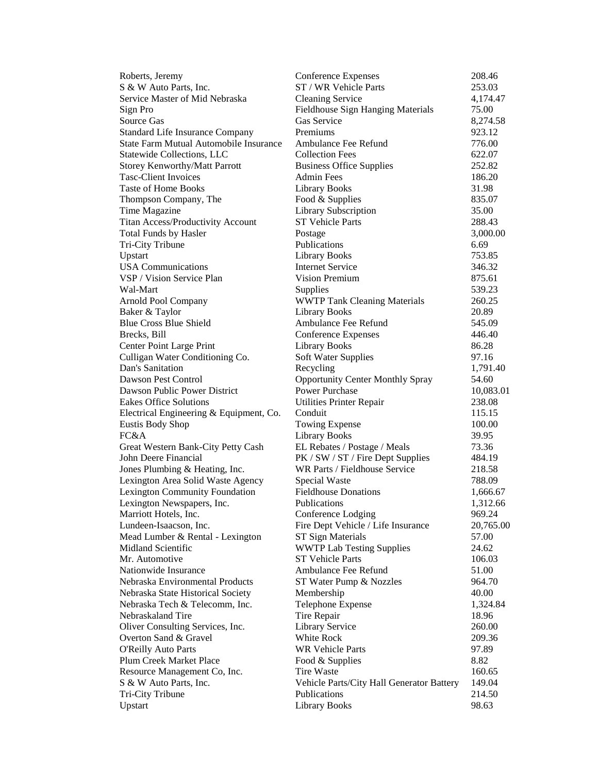| Roberts, Jeremy                         | <b>Conference Expenses</b>                | 208.46    |
|-----------------------------------------|-------------------------------------------|-----------|
| S & W Auto Parts, Inc.                  | ST / WR Vehicle Parts                     | 253.03    |
| Service Master of Mid Nebraska          | <b>Cleaning Service</b>                   | 4,174.47  |
| Sign Pro                                | Fieldhouse Sign Hanging Materials         | 75.00     |
| Source Gas                              | <b>Gas Service</b>                        | 8,274.58  |
| <b>Standard Life Insurance Company</b>  | Premiums                                  | 923.12    |
| State Farm Mutual Automobile Insurance  | Ambulance Fee Refund                      | 776.00    |
| Statewide Collections, LLC              | <b>Collection Fees</b>                    | 622.07    |
| <b>Storey Kenworthy/Matt Parrott</b>    | <b>Business Office Supplies</b>           | 252.82    |
| <b>Tasc-Client Invoices</b>             | <b>Admin Fees</b>                         | 186.20    |
| <b>Taste of Home Books</b>              | <b>Library Books</b>                      | 31.98     |
| Thompson Company, The                   | Food & Supplies                           | 835.07    |
| Time Magazine                           | <b>Library Subscription</b>               | 35.00     |
| Titan Access/Productivity Account       | <b>ST Vehicle Parts</b>                   | 288.43    |
| <b>Total Funds by Hasler</b>            | Postage                                   | 3,000.00  |
| Tri-City Tribune                        | Publications                              | 6.69      |
| Upstart                                 | <b>Library Books</b>                      | 753.85    |
| <b>USA</b> Communications               | <b>Internet Service</b>                   | 346.32    |
| VSP / Vision Service Plan               | <b>Vision Premium</b>                     | 875.61    |
| Wal-Mart                                | Supplies                                  | 539.23    |
| Arnold Pool Company                     | <b>WWTP Tank Cleaning Materials</b>       | 260.25    |
| Baker & Taylor                          | <b>Library Books</b>                      | 20.89     |
| <b>Blue Cross Blue Shield</b>           | Ambulance Fee Refund                      | 545.09    |
| Brecks, Bill                            | <b>Conference Expenses</b>                | 446.40    |
| Center Point Large Print                | <b>Library Books</b>                      | 86.28     |
| Culligan Water Conditioning Co.         | Soft Water Supplies                       | 97.16     |
| Dan's Sanitation                        | Recycling                                 | 1,791.40  |
| Dawson Pest Control                     | <b>Opportunity Center Monthly Spray</b>   | 54.60     |
| Dawson Public Power District            | <b>Power Purchase</b>                     | 10,083.01 |
| <b>Eakes Office Solutions</b>           | <b>Utilities Printer Repair</b>           | 238.08    |
| Electrical Engineering & Equipment, Co. | Conduit                                   | 115.15    |
| <b>Eustis Body Shop</b>                 | <b>Towing Expense</b>                     | 100.00    |
| FC&A                                    | Library Books                             | 39.95     |
| Great Western Bank-City Petty Cash      | EL Rebates / Postage / Meals              | 73.36     |
| John Deere Financial                    | PK / SW / ST / Fire Dept Supplies         | 484.19    |
| Jones Plumbing & Heating, Inc.          | WR Parts / Fieldhouse Service             | 218.58    |
| Lexington Area Solid Waste Agency       | Special Waste                             | 788.09    |
| Lexington Community Foundation          | <b>Fieldhouse Donations</b>               | 1,666.67  |
| Lexington Newspapers, Inc.              | <b>Publications</b>                       | 1,312.66  |
| Marriott Hotels, Inc.                   | Conference Lodging                        | 969.24    |
| Lundeen-Isaacson, Inc.                  | Fire Dept Vehicle / Life Insurance        | 20,765.00 |
| Mead Lumber & Rental - Lexington        | ST Sign Materials                         | 57.00     |
| Midland Scientific                      | <b>WWTP Lab Testing Supplies</b>          | 24.62     |
| Mr. Automotive                          | <b>ST Vehicle Parts</b>                   | 106.03    |
| Nationwide Insurance                    | Ambulance Fee Refund                      | 51.00     |
| Nebraska Environmental Products         | ST Water Pump & Nozzles                   | 964.70    |
| Nebraska State Historical Society       | Membership                                | 40.00     |
| Nebraska Tech & Telecomm, Inc.          | Telephone Expense                         | 1,324.84  |
| Nebraskaland Tire                       | Tire Repair                               | 18.96     |
| Oliver Consulting Services, Inc.        | <b>Library Service</b>                    | 260.00    |
| Overton Sand & Gravel                   | White Rock                                | 209.36    |
| <b>O'Reilly Auto Parts</b>              | <b>WR Vehicle Parts</b>                   | 97.89     |
| Plum Creek Market Place                 | Food & Supplies                           | 8.82      |
| Resource Management Co, Inc.            | Tire Waste                                | 160.65    |
| S & W Auto Parts, Inc.                  | Vehicle Parts/City Hall Generator Battery | 149.04    |
| Tri-City Tribune                        | Publications                              | 214.50    |
| Upstart                                 | <b>Library Books</b>                      | 98.63     |
|                                         |                                           |           |